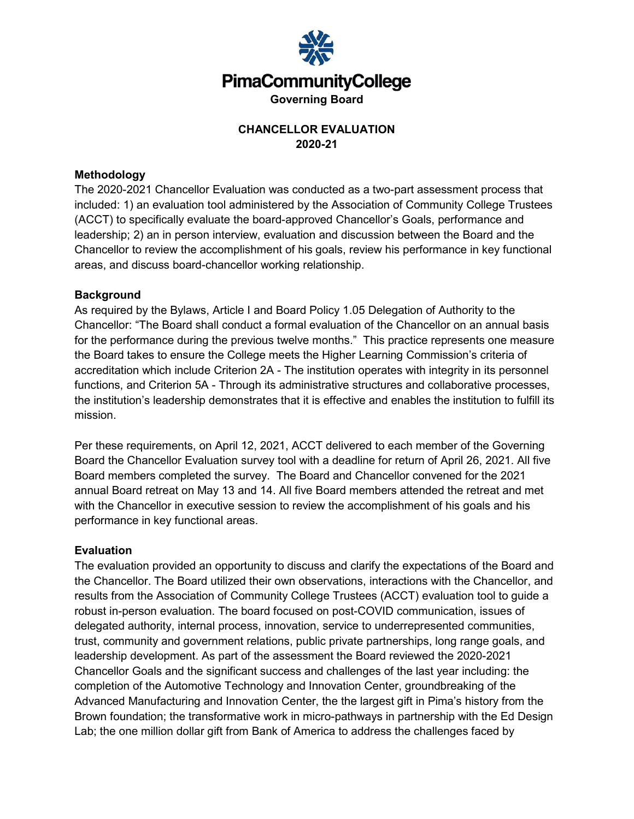

# **CHANCELLOR EVALUATION 2020-21**

## **Methodology**

The 2020-2021 Chancellor Evaluation was conducted as a two-part assessment process that included: 1) an evaluation tool administered by the Association of Community College Trustees (ACCT) to specifically evaluate the board-approved Chancellor's Goals, performance and leadership; 2) an in person interview, evaluation and discussion between the Board and the Chancellor to review the accomplishment of his goals, review his performance in key functional areas, and discuss board-chancellor working relationship.

### **Background**

As required by the Bylaws, Article I and Board Policy 1.05 Delegation of Authority to the Chancellor: "The Board shall conduct a formal evaluation of the Chancellor on an annual basis for the performance during the previous twelve months." This practice represents one measure the Board takes to ensure the College meets the Higher Learning Commission's criteria of accreditation which include Criterion 2A - The institution operates with integrity in its personnel functions, and Criterion 5A - Through its administrative structures and collaborative processes, the institution's leadership demonstrates that it is effective and enables the institution to fulfill its mission.

Per these requirements, on April 12, 2021, ACCT delivered to each member of the Governing Board the Chancellor Evaluation survey tool with a deadline for return of April 26, 2021. All five Board members completed the survey. The Board and Chancellor convened for the 2021 annual Board retreat on May 13 and 14. All five Board members attended the retreat and met with the Chancellor in executive session to review the accomplishment of his goals and his performance in key functional areas.

#### **Evaluation**

The evaluation provided an opportunity to discuss and clarify the expectations of the Board and the Chancellor. The Board utilized their own observations, interactions with the Chancellor, and results from the Association of Community College Trustees (ACCT) evaluation tool to guide a robust in-person evaluation. The board focused on post-COVID communication, issues of delegated authority, internal process, innovation, service to underrepresented communities, trust, community and government relations, public private partnerships, long range goals, and leadership development. As part of the assessment the Board reviewed the 2020-2021 Chancellor Goals and the significant success and challenges of the last year including: the completion of the Automotive Technology and Innovation Center, groundbreaking of the Advanced Manufacturing and Innovation Center, the the largest gift in Pima's history from the Brown foundation; the transformative work in micro-pathways in partnership with the Ed Design Lab; the one million dollar gift from Bank of America to address the challenges faced by